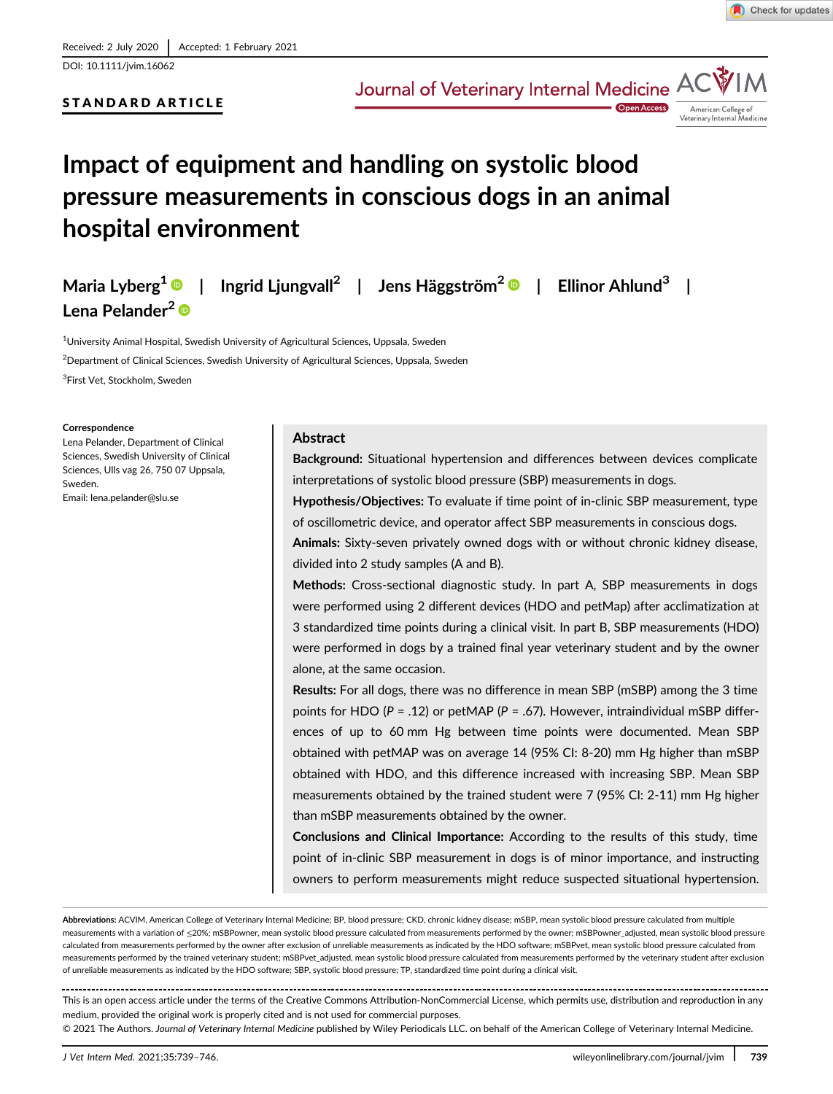DOI: 10.1111/jvim.16062

# STANDARD ARTICLE

Journal of Veterinary Internal Medicine AC



Open Acces

# Impact of equipment and handling on systolic blood pressure measurements in conscious dogs in an animal hospital environment

Maria Lyberg<sup>1</sup> | Ingrid Ljungvall<sup>2</sup> | Jens Häggström<sup>2</sup> | Ellinor Ahlund<sup>3</sup> | Lena Pelander<sup>2</sup><sup>®</sup>

 $^{\rm 1}$ University Animal Hospital, Swedish University of Agricultural Sciences, Uppsala, Sweden

 $^2$ Department of Clinical Sciences, Swedish University of Agricultural Sciences, Uppsala, Sweden

<sup>3</sup>First Vet, Stockholm, Sweden

#### **Correspondence**

Lena Pelander, Department of Clinical Sciences, Swedish University of Clinical Sciences, Ulls vag 26, 750 07 Uppsala, Sweden. Email: [lena.pelander@slu.se](mailto:lena.pelander@slu.se)

#### Abstract

Background: Situational hypertension and differences between devices complicate interpretations of systolic blood pressure (SBP) measurements in dogs.

Hypothesis/Objectives: To evaluate if time point of in-clinic SBP measurement, type of oscillometric device, and operator affect SBP measurements in conscious dogs.

Animals: Sixty-seven privately owned dogs with or without chronic kidney disease, divided into 2 study samples (A and B).

Methods: Cross-sectional diagnostic study. In part A, SBP measurements in dogs were performed using 2 different devices (HDO and petMap) after acclimatization at 3 standardized time points during a clinical visit. In part B, SBP measurements (HDO) were performed in dogs by a trained final year veterinary student and by the owner alone, at the same occasion.

Results: For all dogs, there was no difference in mean SBP (mSBP) among the 3 time points for HDO ( $P = .12$ ) or petMAP ( $P = .67$ ). However, intraindividual mSBP differences of up to 60 mm Hg between time points were documented. Mean SBP obtained with petMAP was on average 14 (95% CI: 8-20) mm Hg higher than mSBP obtained with HDO, and this difference increased with increasing SBP. Mean SBP measurements obtained by the trained student were 7 (95% CI: 2-11) mm Hg higher than mSBP measurements obtained by the owner.

Conclusions and Clinical Importance: According to the results of this study, time point of in-clinic SBP measurement in dogs is of minor importance, and instructing owners to perform measurements might reduce suspected situational hypertension.

Abbreviations: ACVIM, American College of Veterinary Internal Medicine; BP, blood pressure; CKD, chronic kidney disease; mSBP, mean systolic blood pressure calculated from multiple measurements with a variation of ≤20%; mSBPowner, mean systolic blood pressure calculated from measurements performed by the owner; mSBPowner\_adjusted, mean systolic blood pressure calculated from measurements performed by the owner after exclusion of unreliable measurements as indicated by the HDO software; mSBPvet, mean systolic blood pressure calculated from measurements performed by the trained veterinary student; mSBPvet\_adjusted, mean systolic blood pressure calculated from measurements performed by the veterinary student after exclusion of unreliable measurements as indicated by the HDO software; SBP, systolic blood pressure; TP, standardized time point during a clinical visit.

This is an open access article under the terms of the [Creative Commons Attribution-NonCommercial](http://creativecommons.org/licenses/by-nc/4.0/) License, which permits use, distribution and reproduction in any medium, provided the original work is properly cited and is not used for commercial purposes.

© 2021 The Authors. Journal of Veterinary Internal Medicine published by Wiley Periodicals LLC. on behalf of the American College of Veterinary Internal Medicine.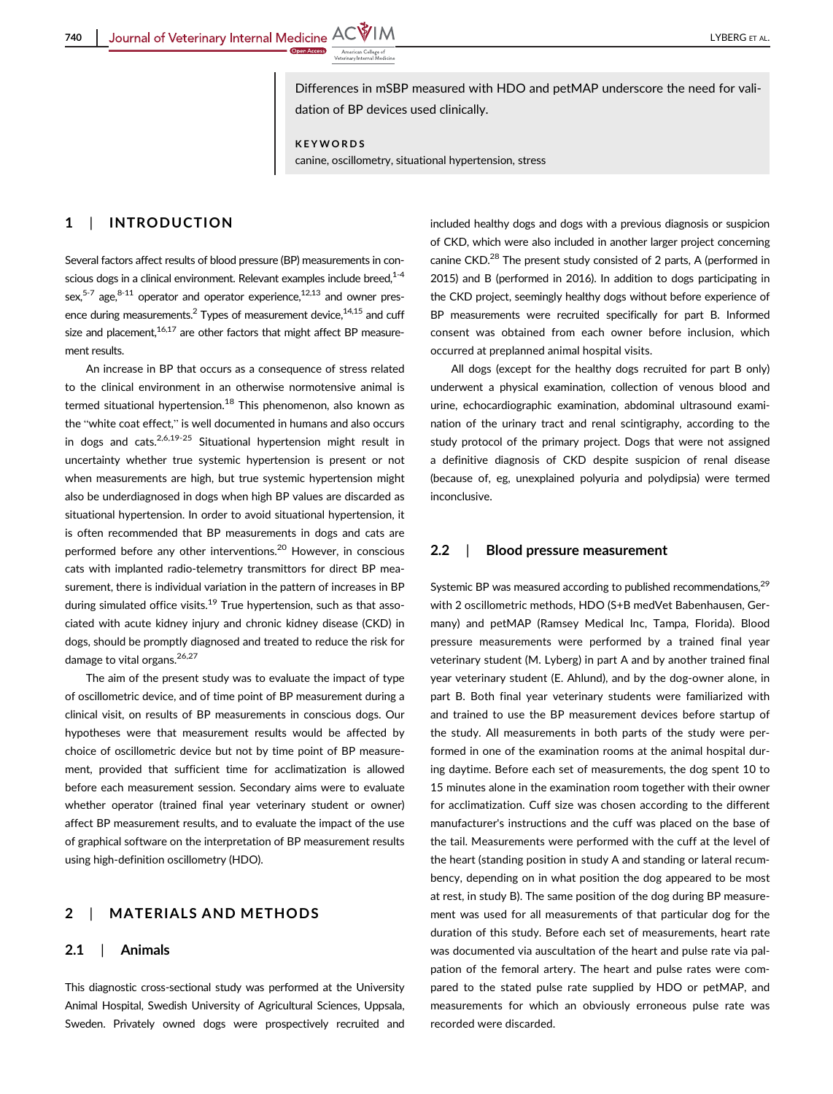Differences in mSBP measured with HDO and petMAP underscore the need for validation of BP devices used clinically.

KEYWORDS

canine, oscillometry, situational hypertension, stress

## 1 | INTRODUCTION

Several factors affect results of blood pressure (BP) measurements in conscious dogs in a clinical environment. Relevant examples include breed. $1-4$ sex, $5-7$  age, $8-11$  operator and operator experience, $12,13$  and owner presence during measurements.<sup>2</sup> Types of measurement device,<sup>14,15</sup> and cuff size and placement, $16,17$  are other factors that might affect BP measurement results.

An increase in BP that occurs as a consequence of stress related to the clinical environment in an otherwise normotensive animal is termed situational hypertension.<sup>18</sup> This phenomenon, also known as the "white coat effect," is well documented in humans and also occurs in dogs and cats.<sup>2,6,19-25</sup> Situational hypertension might result in uncertainty whether true systemic hypertension is present or not when measurements are high, but true systemic hypertension might also be underdiagnosed in dogs when high BP values are discarded as situational hypertension. In order to avoid situational hypertension, it is often recommended that BP measurements in dogs and cats are performed before any other interventions.20 However, in conscious cats with implanted radio-telemetry transmittors for direct BP measurement, there is individual variation in the pattern of increases in BP during simulated office visits.<sup>19</sup> True hypertension, such as that associated with acute kidney injury and chronic kidney disease (CKD) in dogs, should be promptly diagnosed and treated to reduce the risk for damage to vital organs.<sup>26,27</sup>

The aim of the present study was to evaluate the impact of type of oscillometric device, and of time point of BP measurement during a clinical visit, on results of BP measurements in conscious dogs. Our hypotheses were that measurement results would be affected by choice of oscillometric device but not by time point of BP measurement, provided that sufficient time for acclimatization is allowed before each measurement session. Secondary aims were to evaluate whether operator (trained final year veterinary student or owner) affect BP measurement results, and to evaluate the impact of the use of graphical software on the interpretation of BP measurement results using high-definition oscillometry (HDO).

# 2 | MATERIALS AND METHODS

### 2.1 | Animals

This diagnostic cross-sectional study was performed at the University Animal Hospital, Swedish University of Agricultural Sciences, Uppsala, Sweden. Privately owned dogs were prospectively recruited and

included healthy dogs and dogs with a previous diagnosis or suspicion of CKD, which were also included in another larger project concerning canine CKD.<sup>28</sup> The present study consisted of 2 parts, A (performed in 2015) and B (performed in 2016). In addition to dogs participating in the CKD project, seemingly healthy dogs without before experience of BP measurements were recruited specifically for part B. Informed consent was obtained from each owner before inclusion, which occurred at preplanned animal hospital visits.

All dogs (except for the healthy dogs recruited for part B only) underwent a physical examination, collection of venous blood and urine, echocardiographic examination, abdominal ultrasound examination of the urinary tract and renal scintigraphy, according to the study protocol of the primary project. Dogs that were not assigned a definitive diagnosis of CKD despite suspicion of renal disease (because of, eg, unexplained polyuria and polydipsia) were termed inconclusive.

## 2.2 | Blood pressure measurement

Systemic BP was measured according to published recommendations, <sup>29</sup> with 2 oscillometric methods, HDO (S+B medVet Babenhausen, Germany) and petMAP (Ramsey Medical Inc, Tampa, Florida). Blood pressure measurements were performed by a trained final year veterinary student (M. Lyberg) in part A and by another trained final year veterinary student (E. Ahlund), and by the dog-owner alone, in part B. Both final year veterinary students were familiarized with and trained to use the BP measurement devices before startup of the study. All measurements in both parts of the study were performed in one of the examination rooms at the animal hospital during daytime. Before each set of measurements, the dog spent 10 to 15 minutes alone in the examination room together with their owner for acclimatization. Cuff size was chosen according to the different manufacturer's instructions and the cuff was placed on the base of the tail. Measurements were performed with the cuff at the level of the heart (standing position in study A and standing or lateral recumbency, depending on in what position the dog appeared to be most at rest, in study B). The same position of the dog during BP measurement was used for all measurements of that particular dog for the duration of this study. Before each set of measurements, heart rate was documented via auscultation of the heart and pulse rate via palpation of the femoral artery. The heart and pulse rates were compared to the stated pulse rate supplied by HDO or petMAP, and measurements for which an obviously erroneous pulse rate was recorded were discarded.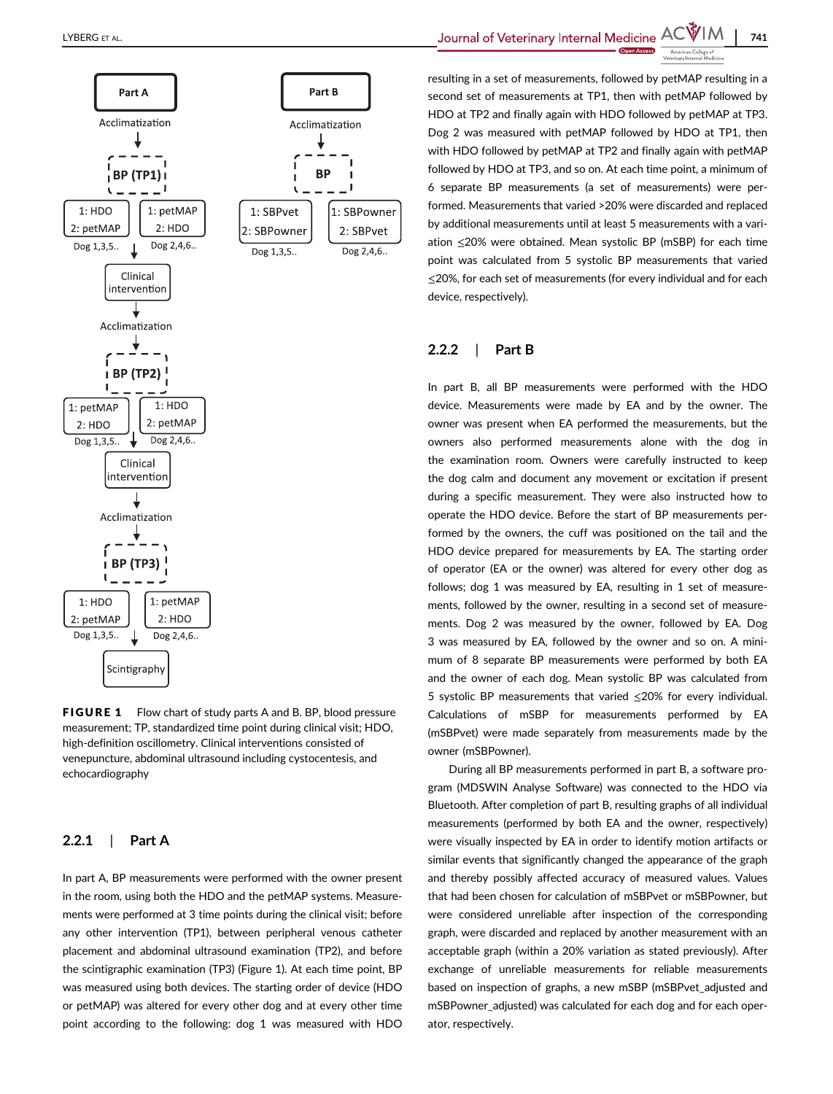

FIGURE 1 Flow chart of study parts A and B. BP, blood pressure measurement; TP, standardized time point during clinical visit; HDO, high-definition oscillometry. Clinical interventions consisted of venepuncture, abdominal ultrasound including cystocentesis, and echocardiography

# 2.2.1 | Part A

In part A, BP measurements were performed with the owner present in the room, using both the HDO and the petMAP systems. Measurements were performed at 3 time points during the clinical visit; before any other intervention (TP1), between peripheral venous catheter placement and abdominal ultrasound examination (TP2), and before the scintigraphic examination (TP3) (Figure 1). At each time point, BP was measured using both devices. The starting order of device (HDO or petMAP) was altered for every other dog and at every other time point according to the following: dog 1 was measured with HDO

LYBERG ET AL.  $\blacksquare$  241

resulting in a set of measurements, followed by petMAP resulting in a second set of measurements at TP1, then with petMAP followed by HDO at TP2 and finally again with HDO followed by petMAP at TP3. Dog 2 was measured with petMAP followed by HDO at TP1, then with HDO followed by petMAP at TP2 and finally again with petMAP followed by HDO at TP3, and so on. At each time point, a minimum of 6 separate BP measurements (a set of measurements) were performed. Measurements that varied >20% were discarded and replaced by additional measurements until at least 5 measurements with a variation ≤20% were obtained. Mean systolic BP (mSBP) for each time point was calculated from 5 systolic BP measurements that varied ≤20%, for each set of measurements (for every individual and for each device, respectively).

# 2.2.2 | Part B

In part B, all BP measurements were performed with the HDO device. Measurements were made by EA and by the owner. The owner was present when EA performed the measurements, but the owners also performed measurements alone with the dog in the examination room. Owners were carefully instructed to keep the dog calm and document any movement or excitation if present during a specific measurement. They were also instructed how to operate the HDO device. Before the start of BP measurements performed by the owners, the cuff was positioned on the tail and the HDO device prepared for measurements by EA. The starting order of operator (EA or the owner) was altered for every other dog as follows; dog 1 was measured by EA, resulting in 1 set of measurements, followed by the owner, resulting in a second set of measurements. Dog 2 was measured by the owner, followed by EA. Dog 3 was measured by EA, followed by the owner and so on. A minimum of 8 separate BP measurements were performed by both EA and the owner of each dog. Mean systolic BP was calculated from 5 systolic BP measurements that varied ≤20% for every individual. Calculations of mSBP for measurements performed by EA (mSBPvet) were made separately from measurements made by the owner (mSBPowner).

During all BP measurements performed in part B, a software program (MDSWIN Analyse Software) was connected to the HDO via Bluetooth. After completion of part B, resulting graphs of all individual measurements (performed by both EA and the owner, respectively) were visually inspected by EA in order to identify motion artifacts or similar events that significantly changed the appearance of the graph and thereby possibly affected accuracy of measured values. Values that had been chosen for calculation of mSBPvet or mSBPowner, but were considered unreliable after inspection of the corresponding graph, were discarded and replaced by another measurement with an acceptable graph (within a 20% variation as stated previously). After exchange of unreliable measurements for reliable measurements based on inspection of graphs, a new mSBP (mSBPvet\_adjusted and mSBPowner\_adjusted) was calculated for each dog and for each operator, respectively.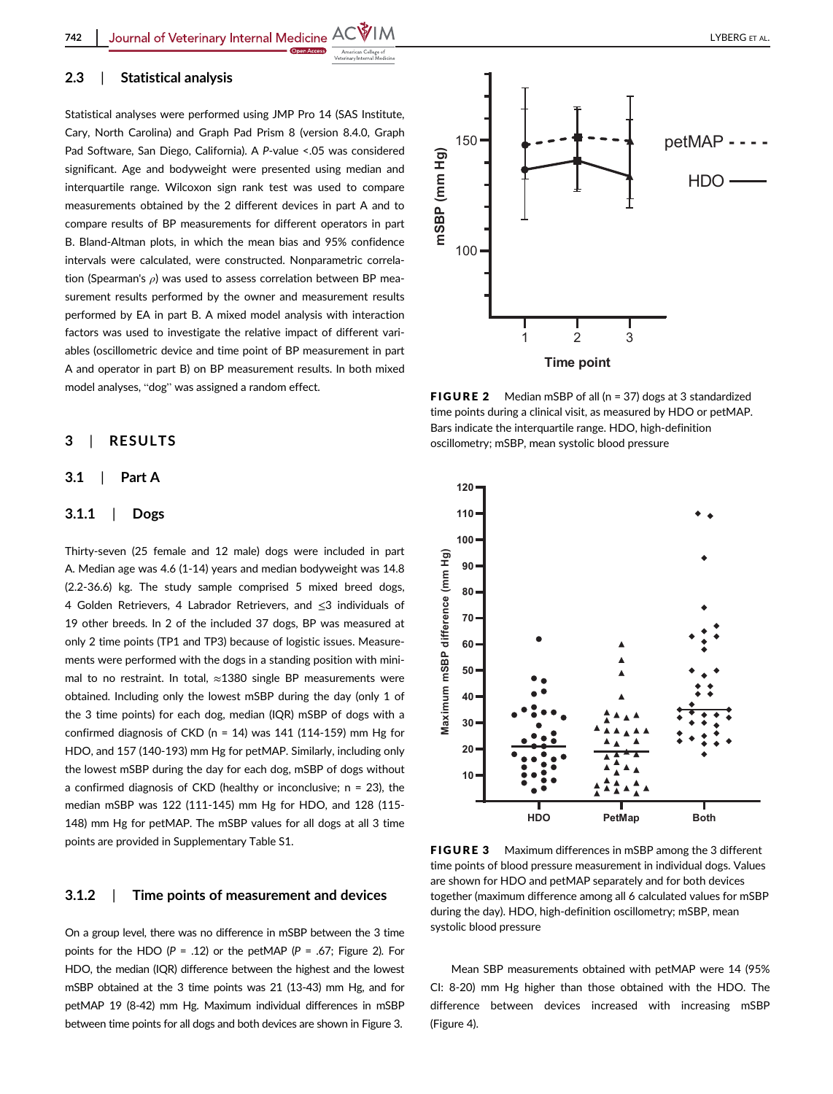## 2.3 | Statistical analysis

Statistical analyses were performed using JMP Pro 14 (SAS Institute, Cary, North Carolina) and Graph Pad Prism 8 (version 8.4.0, Graph Pad Software, San Diego, California). A P-value <.05 was considered significant. Age and bodyweight were presented using median and interquartile range. Wilcoxon sign rank test was used to compare measurements obtained by the 2 different devices in part A and to compare results of BP measurements for different operators in part B. Bland-Altman plots, in which the mean bias and 95% confidence intervals were calculated, were constructed. Nonparametric correlation (Spearman's  $\rho$ ) was used to assess correlation between BP measurement results performed by the owner and measurement results performed by EA in part B. A mixed model analysis with interaction factors was used to investigate the relative impact of different variables (oscillometric device and time point of BP measurement in part A and operator in part B) on BP measurement results. In both mixed model analyses, "dog" was assigned a random effect.

## 3 | RESULTS

## 3.1 | Part A

## 3.1.1 | Dogs

Thirty-seven (25 female and 12 male) dogs were included in part A. Median age was 4.6 (1-14) years and median bodyweight was 14.8 (2.2-36.6) kg. The study sample comprised 5 mixed breed dogs, 4 Golden Retrievers, 4 Labrador Retrievers, and ≤3 individuals of 19 other breeds. In 2 of the included 37 dogs, BP was measured at only 2 time points (TP1 and TP3) because of logistic issues. Measurements were performed with the dogs in a standing position with minimal to no restraint. In total,  $≈1380$  single BP measurements were obtained. Including only the lowest mSBP during the day (only 1 of the 3 time points) for each dog, median (IQR) mSBP of dogs with a confirmed diagnosis of CKD ( $n = 14$ ) was 141 (114-159) mm Hg for HDO, and 157 (140-193) mm Hg for petMAP. Similarly, including only the lowest mSBP during the day for each dog, mSBP of dogs without a confirmed diagnosis of CKD (healthy or inconclusive;  $n = 23$ ), the median mSBP was 122 (111-145) mm Hg for HDO, and 128 (115- 148) mm Hg for petMAP. The mSBP values for all dogs at all 3 time points are provided in Supplementary Table S1.

## 3.1.2 | Time points of measurement and devices

On a group level, there was no difference in mSBP between the 3 time points for the HDO ( $P = .12$ ) or the petMAP ( $P = .67$ ; Figure 2). For HDO, the median (IQR) difference between the highest and the lowest mSBP obtained at the 3 time points was 21 (13-43) mm Hg, and for petMAP 19 (8-42) mm Hg. Maximum individual differences in mSBP between time points for all dogs and both devices are shown in Figure 3.



FIGURE 2 Median mSBP of all (n = 37) dogs at 3 standardized time points during a clinical visit, as measured by HDO or petMAP. Bars indicate the interquartile range. HDO, high-definition oscillometry; mSBP, mean systolic blood pressure



FIGURE 3 Maximum differences in mSBP among the 3 different time points of blood pressure measurement in individual dogs. Values are shown for HDO and petMAP separately and for both devices together (maximum difference among all 6 calculated values for mSBP during the day). HDO, high-definition oscillometry; mSBP, mean systolic blood pressure

Mean SBP measurements obtained with petMAP were 14 (95% CI: 8-20) mm Hg higher than those obtained with the HDO. The difference between devices increased with increasing mSBP (Figure 4).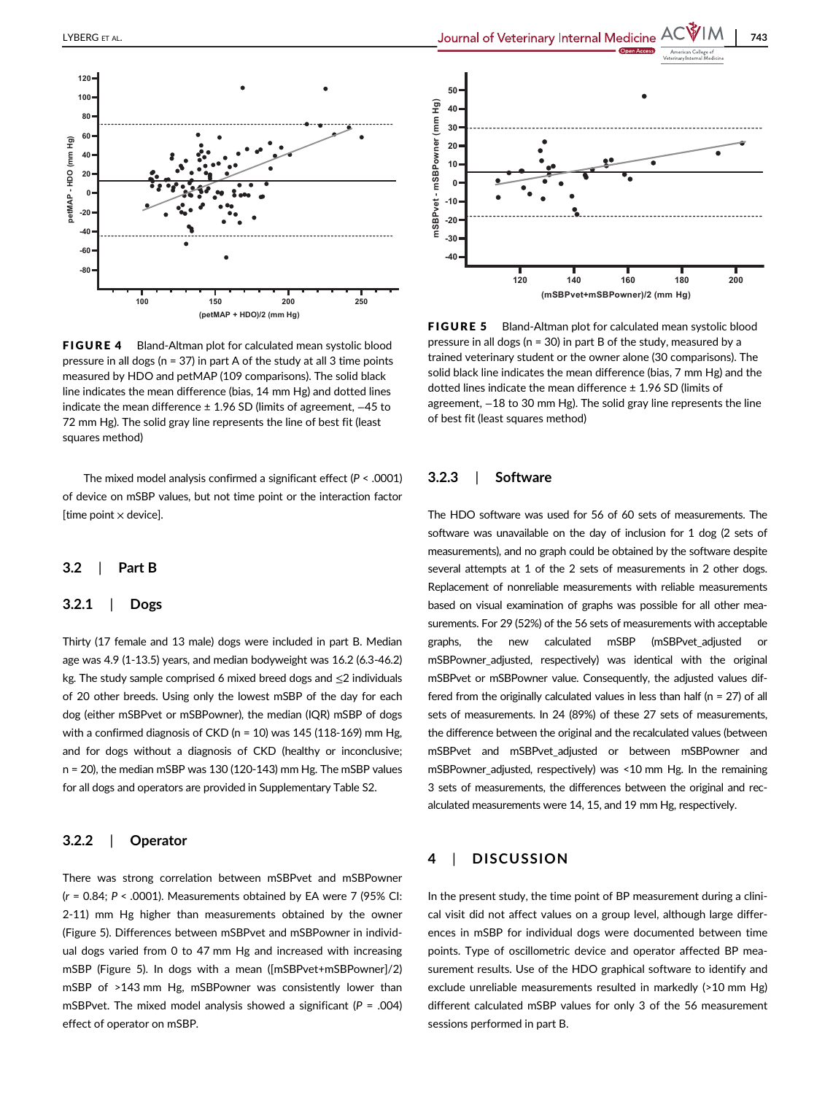

FIGURE 4 Bland-Altman plot for calculated mean systolic blood pressure in all dogs ( $n = 37$ ) in part A of the study at all 3 time points measured by HDO and petMAP (109 comparisons). The solid black line indicates the mean difference (bias, 14 mm Hg) and dotted lines indicate the mean difference ± 1.96 SD (limits of agreement, −45 to 72 mm Hg). The solid gray line represents the line of best fit (least squares method)

The mixed model analysis confirmed a significant effect ( $P < .0001$ ) of device on mSBP values, but not time point or the interaction factor [time point  $\times$  device].

#### 3.2 | Part B

#### 3.2.1 | Dogs

Thirty (17 female and 13 male) dogs were included in part B. Median age was 4.9 (1-13.5) years, and median bodyweight was 16.2 (6.3-46.2) kg. The study sample comprised 6 mixed breed dogs and ≤2 individuals of 20 other breeds. Using only the lowest mSBP of the day for each dog (either mSBPvet or mSBPowner), the median (IQR) mSBP of dogs with a confirmed diagnosis of CKD (n = 10) was 145 (118-169) mm Hg, and for dogs without a diagnosis of CKD (healthy or inconclusive; n = 20), the median mSBP was 130 (120-143) mm Hg. The mSBP values for all dogs and operators are provided in Supplementary Table S2.

## 3.2.2 | Operator

There was strong correlation between mSBPvet and mSBPowner  $(r = 0.84; P < .0001)$ . Measurements obtained by EA were 7 (95% CI: 2-11) mm Hg higher than measurements obtained by the owner (Figure 5). Differences between mSBPvet and mSBPowner in individual dogs varied from 0 to 47 mm Hg and increased with increasing mSBP (Figure 5). In dogs with a mean ([mSBPvet+mSBPowner]/2) mSBP of >143 mm Hg, mSBPowner was consistently lower than mSBPvet. The mixed model analysis showed a significant ( $P = .004$ ) effect of operator on mSBP.



FIGURE 5 Bland-Altman plot for calculated mean systolic blood pressure in all dogs (n = 30) in part B of the study, measured by a trained veterinary student or the owner alone (30 comparisons). The solid black line indicates the mean difference (bias, 7 mm Hg) and the dotted lines indicate the mean difference ± 1.96 SD (limits of agreement, −18 to 30 mm Hg). The solid gray line represents the line of best fit (least squares method)

## 3.2.3 | Software

The HDO software was used for 56 of 60 sets of measurements. The software was unavailable on the day of inclusion for 1 dog (2 sets of measurements), and no graph could be obtained by the software despite several attempts at 1 of the 2 sets of measurements in 2 other dogs. Replacement of nonreliable measurements with reliable measurements based on visual examination of graphs was possible for all other measurements. For 29 (52%) of the 56 sets of measurements with acceptable graphs, the new calculated mSBP (mSBPvet\_adjusted or mSBPowner\_adjusted, respectively) was identical with the original mSBPvet or mSBPowner value. Consequently, the adjusted values differed from the originally calculated values in less than half ( $n = 27$ ) of all sets of measurements. In 24 (89%) of these 27 sets of measurements, the difference between the original and the recalculated values (between mSBPvet and mSBPvet\_adjusted or between mSBPowner and mSBPowner\_adjusted, respectively) was <10 mm Hg. In the remaining 3 sets of measurements, the differences between the original and recalculated measurements were 14, 15, and 19 mm Hg, respectively.

## 4 | DISCUSSION

In the present study, the time point of BP measurement during a clinical visit did not affect values on a group level, although large differences in mSBP for individual dogs were documented between time points. Type of oscillometric device and operator affected BP measurement results. Use of the HDO graphical software to identify and exclude unreliable measurements resulted in markedly (>10 mm Hg) different calculated mSBP values for only 3 of the 56 measurement sessions performed in part B.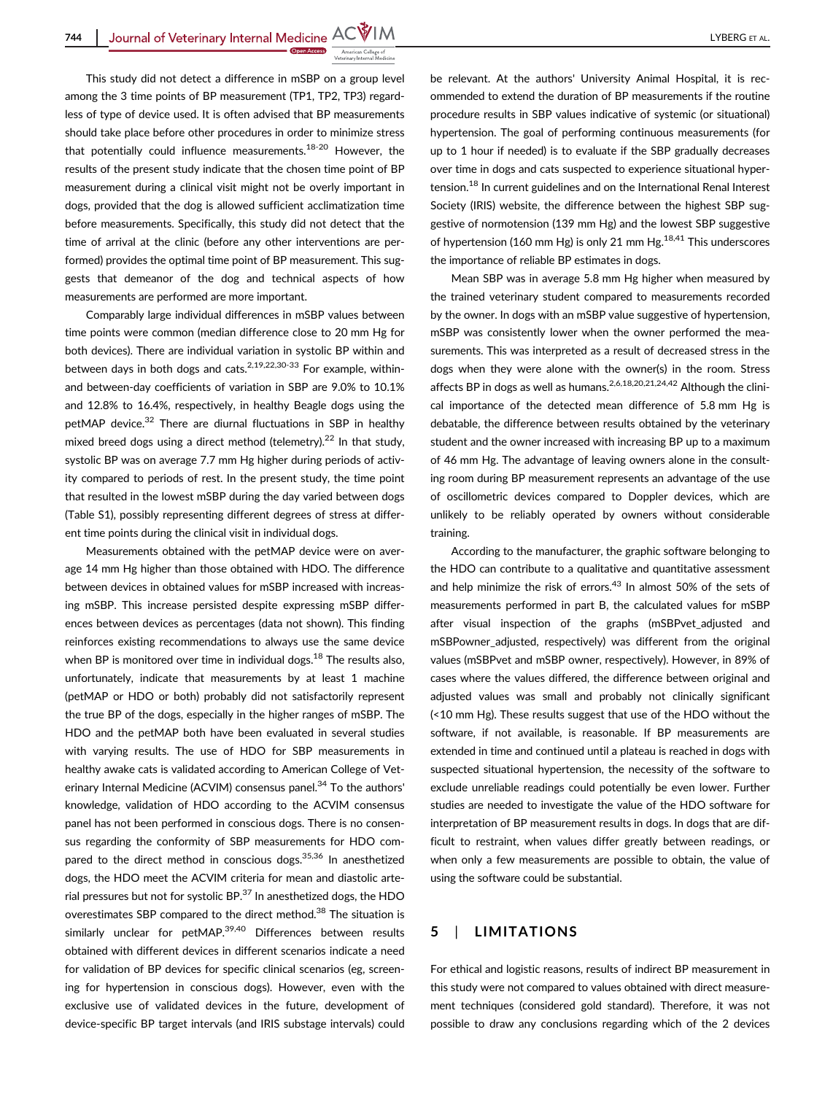This study did not detect a difference in mSBP on a group level among the 3 time points of BP measurement (TP1, TP2, TP3) regardless of type of device used. It is often advised that BP measurements should take place before other procedures in order to minimize stress that potentially could influence measurements.<sup>18-20</sup> However, the results of the present study indicate that the chosen time point of BP measurement during a clinical visit might not be overly important in dogs, provided that the dog is allowed sufficient acclimatization time before measurements. Specifically, this study did not detect that the time of arrival at the clinic (before any other interventions are performed) provides the optimal time point of BP measurement. This suggests that demeanor of the dog and technical aspects of how measurements are performed are more important.

Comparably large individual differences in mSBP values between time points were common (median difference close to 20 mm Hg for both devices). There are individual variation in systolic BP within and between days in both dogs and cats. $2,19,22,30-33$  For example. withinand between-day coefficients of variation in SBP are 9.0% to 10.1% and 12.8% to 16.4%, respectively, in healthy Beagle dogs using the petMAP device.<sup>32</sup> There are diurnal fluctuations in SBP in healthy mixed breed dogs using a direct method (telemetry).<sup>22</sup> In that study, systolic BP was on average 7.7 mm Hg higher during periods of activity compared to periods of rest. In the present study, the time point that resulted in the lowest mSBP during the day varied between dogs (Table S1), possibly representing different degrees of stress at different time points during the clinical visit in individual dogs.

Measurements obtained with the petMAP device were on average 14 mm Hg higher than those obtained with HDO. The difference between devices in obtained values for mSBP increased with increasing mSBP. This increase persisted despite expressing mSBP differences between devices as percentages (data not shown). This finding reinforces existing recommendations to always use the same device when BP is monitored over time in individual dogs. $18$  The results also, unfortunately, indicate that measurements by at least 1 machine (petMAP or HDO or both) probably did not satisfactorily represent the true BP of the dogs, especially in the higher ranges of mSBP. The HDO and the petMAP both have been evaluated in several studies with varying results. The use of HDO for SBP measurements in healthy awake cats is validated according to American College of Veterinary Internal Medicine (ACVIM) consensus panel.<sup>34</sup> To the authors' knowledge, validation of HDO according to the ACVIM consensus panel has not been performed in conscious dogs. There is no consensus regarding the conformity of SBP measurements for HDO compared to the direct method in conscious dogs.<sup>35,36</sup> In anesthetized dogs, the HDO meet the ACVIM criteria for mean and diastolic arterial pressures but not for systolic BP. $37$  In anesthetized dogs, the HDO overestimates SBP compared to the direct method.<sup>38</sup> The situation is similarly unclear for petMAP.<sup>39,40</sup> Differences between results obtained with different devices in different scenarios indicate a need for validation of BP devices for specific clinical scenarios (eg, screening for hypertension in conscious dogs). However, even with the exclusive use of validated devices in the future, development of device-specific BP target intervals (and IRIS substage intervals) could be relevant. At the authors' University Animal Hospital, it is recommended to extend the duration of BP measurements if the routine procedure results in SBP values indicative of systemic (or situational) hypertension. The goal of performing continuous measurements (for up to 1 hour if needed) is to evaluate if the SBP gradually decreases over time in dogs and cats suspected to experience situational hypertension.<sup>18</sup> In current guidelines and on the International Renal Interest Society (IRIS) website, the difference between the highest SBP suggestive of normotension (139 mm Hg) and the lowest SBP suggestive of hypertension (160 mm Hg) is only 21 mm Hg. $^{18,41}$  This underscores the importance of reliable BP estimates in dogs.

Mean SBP was in average 5.8 mm Hg higher when measured by the trained veterinary student compared to measurements recorded by the owner. In dogs with an mSBP value suggestive of hypertension, mSBP was consistently lower when the owner performed the measurements. This was interpreted as a result of decreased stress in the dogs when they were alone with the owner(s) in the room. Stress affects BP in dogs as well as humans.<sup>2,6,18,20,21,24,42</sup> Although the clinical importance of the detected mean difference of 5.8 mm Hg is debatable, the difference between results obtained by the veterinary student and the owner increased with increasing BP up to a maximum of 46 mm Hg. The advantage of leaving owners alone in the consulting room during BP measurement represents an advantage of the use of oscillometric devices compared to Doppler devices, which are unlikely to be reliably operated by owners without considerable training.

According to the manufacturer, the graphic software belonging to the HDO can contribute to a qualitative and quantitative assessment and help minimize the risk of errors.<sup>43</sup> In almost 50% of the sets of measurements performed in part B, the calculated values for mSBP after visual inspection of the graphs (mSBPvet\_adjusted and mSBPowner adjusted, respectively) was different from the original values (mSBPvet and mSBP owner, respectively). However, in 89% of cases where the values differed, the difference between original and adjusted values was small and probably not clinically significant (<10 mm Hg). These results suggest that use of the HDO without the software, if not available, is reasonable. If BP measurements are extended in time and continued until a plateau is reached in dogs with suspected situational hypertension, the necessity of the software to exclude unreliable readings could potentially be even lower. Further studies are needed to investigate the value of the HDO software for interpretation of BP measurement results in dogs. In dogs that are difficult to restraint, when values differ greatly between readings, or when only a few measurements are possible to obtain, the value of using the software could be substantial.

# 5 | LIMITATIONS

For ethical and logistic reasons, results of indirect BP measurement in this study were not compared to values obtained with direct measurement techniques (considered gold standard). Therefore, it was not possible to draw any conclusions regarding which of the 2 devices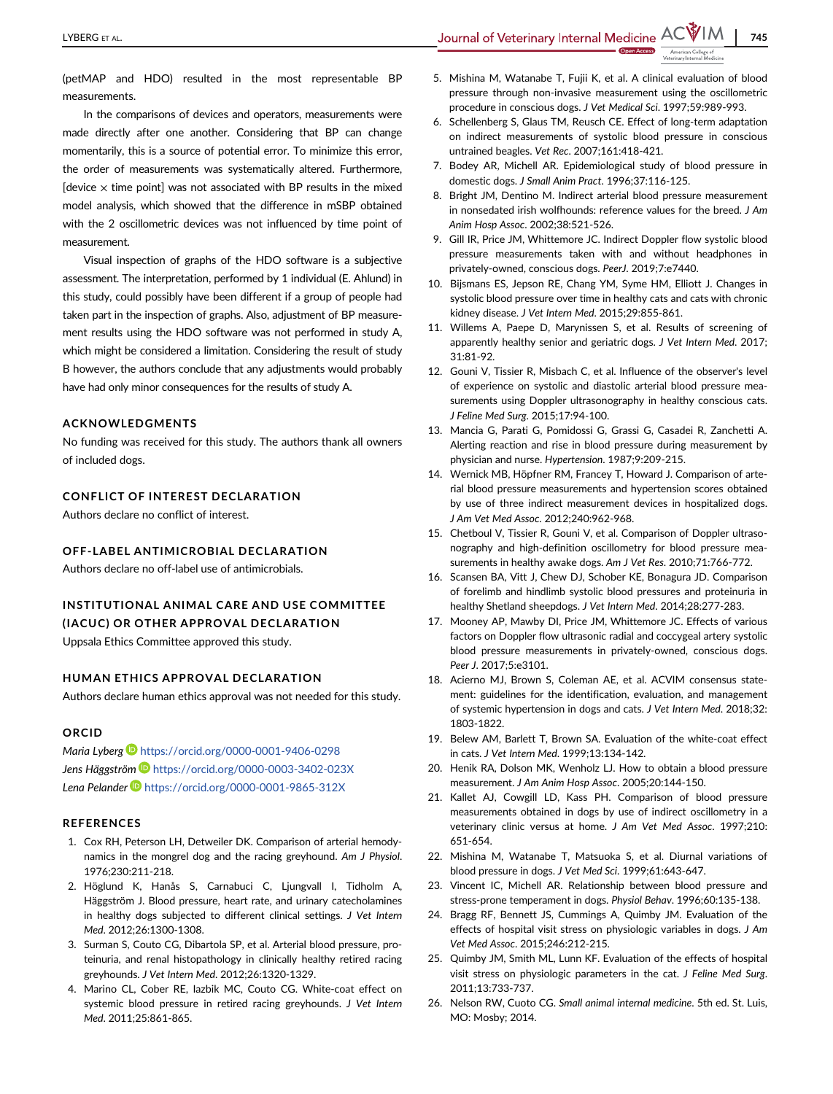LYBERG ET AL. THE CONTROLLED A LAST SUITE SUITE SUITE SUITE SUITE ACTEVER ACTEVER ACTEVER ACTEVER OF THE STAG

(petMAP and HDO) resulted in the most representable BP measurements.

In the comparisons of devices and operators, measurements were made directly after one another. Considering that BP can change momentarily, this is a source of potential error. To minimize this error, the order of measurements was systematically altered. Furthermore, [device  $\times$  time point] was not associated with BP results in the mixed model analysis, which showed that the difference in mSBP obtained with the 2 oscillometric devices was not influenced by time point of measurement.

Visual inspection of graphs of the HDO software is a subjective assessment. The interpretation, performed by 1 individual (E. Ahlund) in this study, could possibly have been different if a group of people had taken part in the inspection of graphs. Also, adjustment of BP measurement results using the HDO software was not performed in study A, which might be considered a limitation. Considering the result of study B however, the authors conclude that any adjustments would probably have had only minor consequences for the results of study A.

## ACKNOWLEDGMENTS

No funding was received for this study. The authors thank all owners of included dogs.

## CONFLICT OF INTEREST DECLARATION

Authors declare no conflict of interest.

## OFF-LABEL ANTIMICROBIAL DECLARATION

Authors declare no off-label use of antimicrobials.

# INSTITUTIONAL ANIMAL CARE AND USE COMMITTEE (IACUC) OR OTHER APPROVAL DECLARATION

Uppsala Ethics Committee approved this study.

#### HUMAN ETHICS APPROVAL DECLARATION

Authors declare human ethics approval was not needed for this study.

#### ORCID

Maria Lyberg <https://orcid.org/0000-0001-9406-0298> Jens Häggström D <https://orcid.org/0000-0003-3402-023X> Lena Pelander D<https://orcid.org/0000-0001-9865-312X>

#### **REFERENCES**

- 1. Cox RH, Peterson LH, Detweiler DK. Comparison of arterial hemodynamics in the mongrel dog and the racing greyhound. Am J Physiol. 1976;230:211-218.
- 2. Höglund K, Hanås S, Carnabuci C, Ljungvall I, Tidholm A, Häggström J. Blood pressure, heart rate, and urinary catecholamines in healthy dogs subjected to different clinical settings. J Vet Intern Med. 2012;26:1300-1308.
- 3. Surman S, Couto CG, Dibartola SP, et al. Arterial blood pressure, proteinuria, and renal histopathology in clinically healthy retired racing greyhounds. J Vet Intern Med. 2012;26:1320-1329.
- 4. Marino CL, Cober RE, Iazbik MC, Couto CG. White-coat effect on systemic blood pressure in retired racing greyhounds. J Vet Intern Med. 2011;25:861-865.
- 5. Mishina M, Watanabe T, Fujii K, et al. A clinical evaluation of blood pressure through non-invasive measurement using the oscillometric procedure in conscious dogs. J Vet Medical Sci. 1997;59:989-993.
- 6. Schellenberg S, Glaus TM, Reusch CE. Effect of long-term adaptation on indirect measurements of systolic blood pressure in conscious untrained beagles. Vet Rec. 2007;161:418-421.
- 7. Bodey AR, Michell AR. Epidemiological study of blood pressure in domestic dogs. J Small Anim Pract. 1996;37:116-125.
- 8. Bright JM, Dentino M. Indirect arterial blood pressure measurement in nonsedated irish wolfhounds: reference values for the breed. J Am Anim Hosp Assoc. 2002;38:521-526.
- 9. Gill IR, Price JM, Whittemore JC. Indirect Doppler flow systolic blood pressure measurements taken with and without headphones in privately-owned, conscious dogs. PeerJ. 2019;7:e7440.
- 10. Bijsmans ES, Jepson RE, Chang YM, Syme HM, Elliott J. Changes in systolic blood pressure over time in healthy cats and cats with chronic kidney disease. J Vet Intern Med. 2015;29:855-861.
- 11. Willems A, Paepe D, Marynissen S, et al. Results of screening of apparently healthy senior and geriatric dogs. J Vet Intern Med. 2017; 31:81-92.
- 12. Gouni V, Tissier R, Misbach C, et al. Influence of the observer's level of experience on systolic and diastolic arterial blood pressure measurements using Doppler ultrasonography in healthy conscious cats. J Feline Med Surg. 2015;17:94-100.
- 13. Mancia G, Parati G, Pomidossi G, Grassi G, Casadei R, Zanchetti A. Alerting reaction and rise in blood pressure during measurement by physician and nurse. Hypertension. 1987;9:209-215.
- 14. Wernick MB, Höpfner RM, Francey T, Howard J. Comparison of arterial blood pressure measurements and hypertension scores obtained by use of three indirect measurement devices in hospitalized dogs. J Am Vet Med Assoc. 2012;240:962-968.
- 15. Chetboul V, Tissier R, Gouni V, et al. Comparison of Doppler ultrasonography and high-definition oscillometry for blood pressure measurements in healthy awake dogs. Am J Vet Res. 2010;71:766-772.
- 16. Scansen BA, Vitt J, Chew DJ, Schober KE, Bonagura JD. Comparison of forelimb and hindlimb systolic blood pressures and proteinuria in healthy Shetland sheepdogs. J Vet Intern Med. 2014;28:277-283.
- 17. Mooney AP, Mawby DI, Price JM, Whittemore JC. Effects of various factors on Doppler flow ultrasonic radial and coccygeal artery systolic blood pressure measurements in privately-owned, conscious dogs. Peer J. 2017;5:e3101.
- 18. Acierno MJ, Brown S, Coleman AE, et al. ACVIM consensus statement: guidelines for the identification, evaluation, and management of systemic hypertension in dogs and cats. J Vet Intern Med. 2018;32: 1803-1822.
- 19. Belew AM, Barlett T, Brown SA. Evaluation of the white-coat effect in cats. J Vet Intern Med. 1999;13:134-142.
- 20. Henik RA, Dolson MK, Wenholz LJ. How to obtain a blood pressure measurement. J Am Anim Hosp Assoc. 2005;20:144-150.
- 21. Kallet AJ, Cowgill LD, Kass PH. Comparison of blood pressure measurements obtained in dogs by use of indirect oscillometry in a veterinary clinic versus at home. J Am Vet Med Assoc. 1997;210: 651-654.
- 22. Mishina M, Watanabe T, Matsuoka S, et al. Diurnal variations of blood pressure in dogs. J Vet Med Sci. 1999;61:643-647.
- 23. Vincent IC, Michell AR. Relationship between blood pressure and stress-prone temperament in dogs. Physiol Behav. 1996;60:135-138.
- 24. Bragg RF, Bennett JS, Cummings A, Quimby JM. Evaluation of the effects of hospital visit stress on physiologic variables in dogs. J Am Vet Med Assoc. 2015;246:212-215.
- 25. Quimby JM, Smith ML, Lunn KF. Evaluation of the effects of hospital visit stress on physiologic parameters in the cat. J Feline Med Surg. 2011;13:733-737.
- 26. Nelson RW, Cuoto CG. Small animal internal medicine. 5th ed. St. Luis, MO: Mosby; 2014.